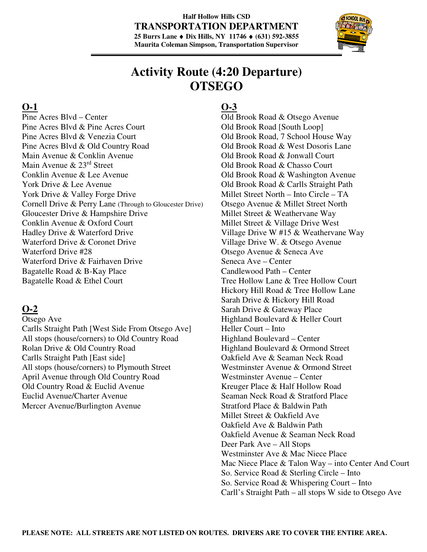### **Half Hollow Hills CSD TRANSPORTATION DEPARTMENT 25 Burrs Lane** ♦ **Dix Hills, NY 11746** ♦ **(631) 592-3855 Maurita Coleman Simpson, Transportation Supervisor**



# **Activity Route (4:20 Departure) OTSEGO**

## **O-1**

Pine Acres Blvd – Center Pine Acres Blvd & Pine Acres Court Pine Acres Blvd & Venezia Court Pine Acres Blvd & Old Country Road Main Avenue & Conklin Avenue Main Avenue & 23rd Street Conklin Avenue & Lee Avenue York Drive & Lee Avenue York Drive & Valley Forge Drive Cornell Drive & Perry Lane (Through to Gloucester Drive) Gloucester Drive & Hampshire Drive Conklin Avenue & Oxford Court Hadley Drive & Waterford Drive Waterford Drive & Coronet Drive Waterford Drive #28 Waterford Drive & Fairhaven Drive Bagatelle Road & B-Kay Place Bagatelle Road & Ethel Court

## **O-2**

- Otsego Ave
- Carlls Straight Path [West Side From Otsego Ave] All stops (house/corners) to Old Country Road Rolan Drive & Old Country Road Carlls Straight Path [East side] All stops (house/corners) to Plymouth Street April Avenue through Old Country Road Old Country Road & Euclid Avenue Euclid Avenue/Charter Avenue Mercer Avenue/Burlington Avenue

## **O-3**

Old Brook Road & Otsego Avenue Old Brook Road [South Loop] Old Brook Road, 7 School House Way Old Brook Road & West Dosoris Lane Old Brook Road & Jonwall Court Old Brook Road & Chasso Court Old Brook Road & Washington Avenue Old Brook Road & Carlls Straight Path Millet Street North – Into Circle – TA Otsego Avenue & Millet Street North Millet Street & Weathervane Way Millet Street & Village Drive West Village Drive W #15 & Weathervane Way Village Drive W. & Otsego Avenue Otsego Avenue & Seneca Ave Seneca Ave – Center Candlewood Path – Center Tree Hollow Lane & Tree Hollow Court Hickory Hill Road & Tree Hollow Lane Sarah Drive & Hickory Hill Road Sarah Drive & Gateway Place Highland Boulevard & Heller Court Heller Court – Into Highland Boulevard – Center Highland Boulevard & Ormond Street Oakfield Ave & Seaman Neck Road Westminster Avenue & Ormond Street Westminster Avenue – Center Kreuger Place & Half Hollow Road Seaman Neck Road & Stratford Place Stratford Place & Baldwin Path Millet Street & Oakfield Ave Oakfield Ave & Baldwin Path Oakfield Avenue & Seaman Neck Road Deer Park Ave – All Stops Westminster Ave & Mac Niece Place Mac Niece Place & Talon Way – into Center And Court So. Service Road & Sterling Circle – Into So. Service Road & Whispering Court – Into Carll's Straight Path – all stops W side to Otsego Ave